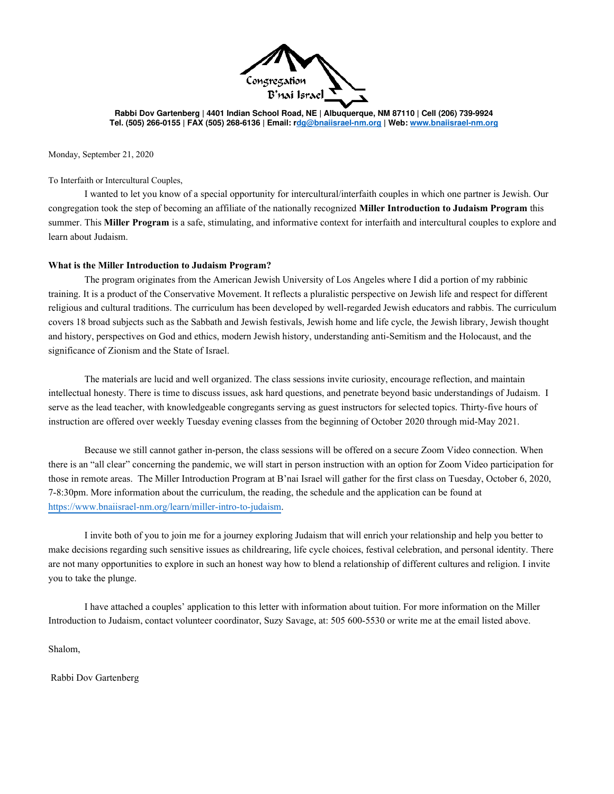

**Rabbi Dov Gartenberg | 4401 Indian School Road, NE | Albuquerque, NM 87110 | Cell (206) 739-9924 Tel. (505) 266-0155 | FAX (505) 268-6136 | Email: [rdg@bnaiisrael-nm.org |](mailto:dg@bnaiisrael-nm.org) Web: [www.bnaiisrael-nm.org](http://www.bnaiisrael-nm.org/)** 

Monday, September 21, 2020

To Interfaith or Intercultural Couples,

I wanted to let you know of a special opportunity for intercultural/interfaith couples in which one partner is Jewish. Our congregation took the step of becoming an affiliate of the nationally recognized **Miller Introduction to Judaism Program** this summer. This **Miller Program** is a safe, stimulating, and informative context for interfaith and intercultural couples to explore and learn about Judaism.

## **What is the Miller Introduction to Judaism Program?**

The program originates from the American Jewish University of Los Angeles where I did a portion of my rabbinic training. It is a product of the Conservative Movement. It reflects a pluralistic perspective on Jewish life and respect for different religious and cultural traditions. The curriculum has been developed by well-regarded Jewish educators and rabbis. The curriculum covers 18 broad subjects such as the Sabbath and Jewish festivals, Jewish home and life cycle, the Jewish library, Jewish thought and history, perspectives on God and ethics, modern Jewish history, understanding anti-Semitism and the Holocaust, and the significance of Zionism and the State of Israel.

The materials are lucid and well organized. The class sessions invite curiosity, encourage reflection, and maintain intellectual honesty. There is time to discuss issues, ask hard questions, and penetrate beyond basic understandings of Judaism. I serve as the lead teacher, with knowledgeable congregants serving as guest instructors for selected topics. Thirty-five hours of instruction are offered over weekly Tuesday evening classes from the beginning of October 2020 through mid-May 2021.

Because we still cannot gather in-person, the class sessions will be offered on a secure Zoom Video connection. When there is an "all clear" concerning the pandemic, we will start in person instruction with an option for Zoom Video participation for those in remote areas. The Miller Introduction Program at B'nai Israel will gather for the first class on Tuesday, October 6, 2020, 7-8:30pm. More information about the curriculum, the reading, the schedule and the application can be found at [https://www.bnaiisrael-nm.org/learn/miller-intro-to-judaism.](https://www.bnaiisrael-nm.org/learn/miller-intro-to-judaism)

I invite both of you to join me for a journey exploring Judaism that will enrich your relationship and help you better to make decisions regarding such sensitive issues as childrearing, life cycle choices, festival celebration, and personal identity. There are not many opportunities to explore in such an honest way how to blend a relationship of different cultures and religion. I invite you to take the plunge.

I have attached a couples' application to this letter with information about tuition. For more information on the Miller Introduction to Judaism, contact volunteer coordinator, Suzy Savage, at: 505 600-5530 or write me at the email listed above.

Shalom,

Rabbi Dov Gartenberg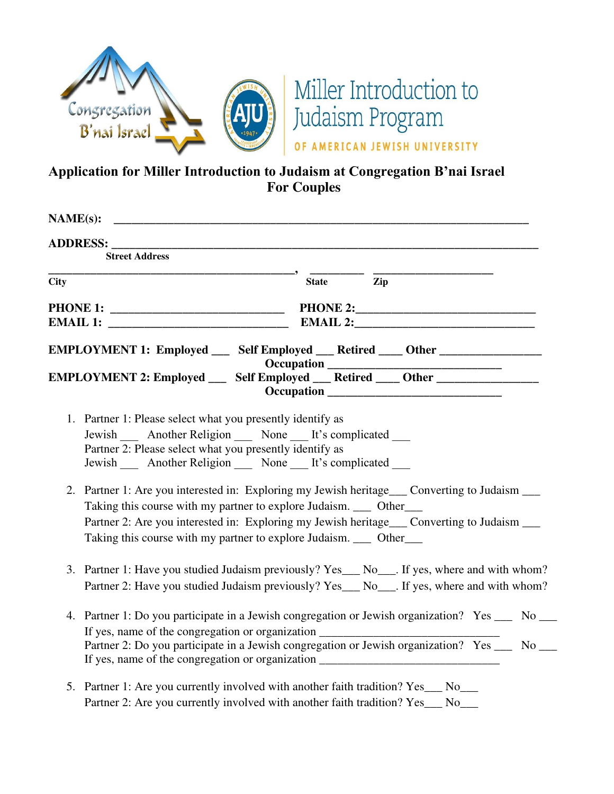

## **Application for Miller Introduction to Judaism at Congregation B'nai Israel For Couples**

| NAME(s):    |                                                                                                                                                                                                                                                                                                                                                 |              |     |                                                                                                                                                                                                 |  |  |
|-------------|-------------------------------------------------------------------------------------------------------------------------------------------------------------------------------------------------------------------------------------------------------------------------------------------------------------------------------------------------|--------------|-----|-------------------------------------------------------------------------------------------------------------------------------------------------------------------------------------------------|--|--|
|             | <b>ADDRESS:</b><br><b>Street Address</b>                                                                                                                                                                                                                                                                                                        |              |     |                                                                                                                                                                                                 |  |  |
| <b>City</b> |                                                                                                                                                                                                                                                                                                                                                 | <b>State</b> | Zip |                                                                                                                                                                                                 |  |  |
|             |                                                                                                                                                                                                                                                                                                                                                 |              |     |                                                                                                                                                                                                 |  |  |
|             | EMPLOYMENT 1: Employed __ Self Employed __ Retired ___ Other __________________                                                                                                                                                                                                                                                                 |              |     |                                                                                                                                                                                                 |  |  |
|             | EMPLOYMENT 2: Employed _____ Self Employed ____ Retired _____ Other _____________                                                                                                                                                                                                                                                               |              |     |                                                                                                                                                                                                 |  |  |
|             | 1. Partner 1: Please select what you presently identify as<br>Jewish ______ Another Religion _______ None _____ It's complicated _____<br>Partner 2: Please select what you presently identify as<br>Jewish ______ Another Religion _______ None _____ It's complicated _____                                                                   |              |     |                                                                                                                                                                                                 |  |  |
|             | 2. Partner 1: Are you interested in: Exploring my Jewish heritage___ Converting to Judaism ___<br>Taking this course with my partner to explore Judaism. ____ Other____<br>Partner 2: Are you interested in: Exploring my Jewish heritage___ Converting to Judaism ___<br>Taking this course with my partner to explore Judaism. ____ Other____ |              |     |                                                                                                                                                                                                 |  |  |
|             | 3. Partner 1: Have you studied Judaism previously? Yes___ No___. If yes, where and with whom?<br>Partner 2: Have you studied Judaism previously? Yes___ No___. If yes, where and with whom?                                                                                                                                                     |              |     |                                                                                                                                                                                                 |  |  |
|             | If yes, name of the congregation or organization ________________________________<br>If yes, name of the congregation or organization ________________________________                                                                                                                                                                          |              |     | 4. Partner 1: Do you participate in a Jewish congregation or Jewish organization? Yes __ No __<br>Partner 2: Do you participate in a Jewish congregation or Jewish organization? Yes ___ No ___ |  |  |
|             | 5. Partner 1: Are you currently involved with another faith tradition? Yes__ No__<br>Partner 2: Are you currently involved with another faith tradition? Yes                                                                                                                                                                                    |              |     | No.                                                                                                                                                                                             |  |  |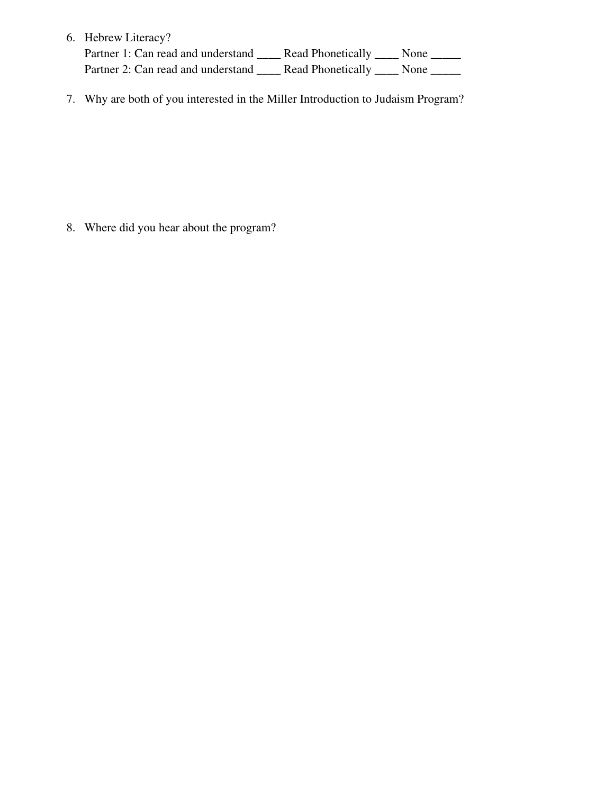| 6. Hebrew Literacy?                                                              |                        |  |
|----------------------------------------------------------------------------------|------------------------|--|
| Partner 1: Can read and understand                                               | Read Phonetically None |  |
| Partner 2: Can read and understand ________ Read Phonetically ______ None ______ |                        |  |

7. Why are both of you interested in the Miller Introduction to Judaism Program?

8. Where did you hear about the program?